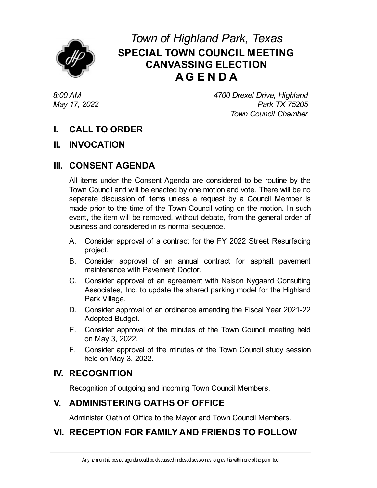

# *Town of Highland Park, Texas* **SPECIAL TOWN COUNCIL MEETING CANVASSING ELECTION AG E N D A**

*8:00 AM May 17, 2022* *4700 Drexel Drive, Highland Park TX 75205 Town Council Chamber*

# **I. CALL TO ORDER**

#### **II. INVOCATION**

# **III. CONSENT AGENDA**

All items under the Consent Agenda are considered to be routine by the Town Council and will be enacted by one motion and vote. There will be no separate discussion of items unless a request by a Council Member is made prior to the time of the Town Council voting on the motion. In such event, the item will be removed, without debate, from the general order of business and considered in its normal sequence.

- A. Consider approval of a contract for the FY 2022 Street [Resurfacing](file:///C:/Windows/TEMP/CoverSheet.aspx?ItemID=4652&MeetingID=774) project.
- B. Consider approval of an annual contract for asphalt pavement [maintenance](file:///C:/Windows/TEMP/CoverSheet.aspx?ItemID=4653&MeetingID=774) with Pavement Doctor.
- C. Consider approval of an agreement with Nelson Nygaard Consulting [Associates,](file:///C:/Windows/TEMP/CoverSheet.aspx?ItemID=4644&MeetingID=774) Inc. to update the shared parking model for the Highland Park Village.
- D. Consider approval of an [ordinance](file:///C:/Windows/TEMP/CoverSheet.aspx?ItemID=4654&MeetingID=774) amending the Fiscal Year 2021-22 Adopted Budget.
- E. Consider approval of the minutes of the Town Council meeting held on May 3, 2022.
- F. Consider approval of the minutes of the Town Council study session held on May 3, 2022.

### **IV. RECOGNITION**

Recognition of outgoing and incoming Town Council Members.

# **V. ADMINISTERING OATHS OF OFFICE**

Administer Oath of Office to the Mayor and Town Council Members.

# **VI. RECEPTION FOR FAMILYAND FRIENDS TO FOLLOW**